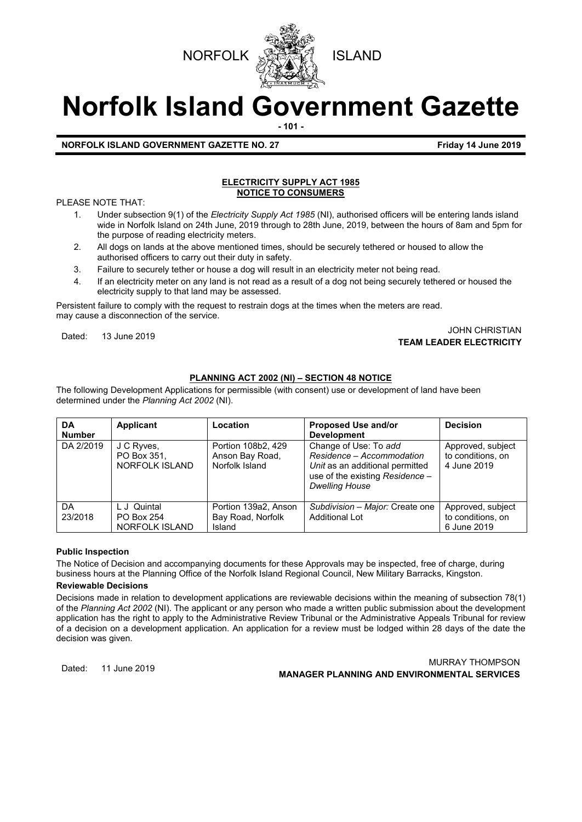



# **Norfolk Island Government Gazette**

**- 101 -**

**NORFOLK ISLAND GOVERNMENT GAZETTE NO. 27 Friday 14 June 2019** 

#### **ELECTRICITY SUPPLY ACT 1985 NOTICE TO CONSUMERS**

PLEASE NOTE THAT:

- 1. Under subsection 9(1) of the *Electricity Supply Act 1985* (NI), authorised officers will be entering lands island wide in Norfolk Island on 24th June, 2019 through to 28th June, 2019, between the hours of 8am and 5pm for the purpose of reading electricity meters.
- 2. All dogs on lands at the above mentioned times, should be securely tethered or housed to allow the authorised officers to carry out their duty in safety.
- 3. Failure to securely tether or house a dog will result in an electricity meter not being read.
- 4. If an electricity meter on any land is not read as a result of a dog not being securely tethered or housed the electricity supply to that land may be assessed.

Persistent failure to comply with the request to restrain dogs at the times when the meters are read. may cause a disconnection of the service.

# JOHN CHRISTIAN<br>TEAM LEADED FL FOTDICITY **TEAM LEADER ELECTRICITY**

# **PLANNING ACT 2002 (NI) – SECTION 48 NOTICE**

The following Development Applications for permissible (with consent) use or development of land have been determined under the *Planning Act 2002* (NI).

| <b>DA</b><br><b>Number</b> | <b>Applicant</b>                            | Location                                                | <b>Proposed Use and/or</b><br><b>Development</b>                                                                                                  | <b>Decision</b>                                       |
|----------------------------|---------------------------------------------|---------------------------------------------------------|---------------------------------------------------------------------------------------------------------------------------------------------------|-------------------------------------------------------|
| DA 2/2019                  | J C Ryves,<br>PO Box 351,<br>NORFOLK ISLAND | Portion 108b2, 429<br>Anson Bay Road,<br>Norfolk Island | Change of Use: To add<br>Residence - Accommodation<br>Unit as an additional permitted<br>use of the existing Residence -<br><b>Dwelling House</b> | Approved, subject<br>to conditions, on<br>4 June 2019 |
| DA.<br>23/2018             | L J Quintal<br>PO Box 254<br>NORFOLK ISLAND | Portion 139a2, Anson<br>Bay Road, Norfolk<br>Island     | Subdivision - Major: Create one<br>Additional Lot                                                                                                 | Approved, subject<br>to conditions, on<br>6 June 2019 |

## **Public Inspection**

The Notice of Decision and accompanying documents for these Approvals may be inspected, free of charge, during business hours at the Planning Office of the Norfolk Island Regional Council, New Military Barracks, Kingston.

## **Reviewable Decisions**

Decisions made in relation to development applications are reviewable decisions within the meaning of subsection 78(1) of the *Planning Act 2002* (NI). The applicant or any person who made a written public submission about the development application has the right to apply to the Administrative Review Tribunal or the Administrative Appeals Tribunal for review of a decision on a development application. An application for a review must be lodged within 28 days of the date the decision was given.

Dated: 11 June 2019 MURRAY THOMPSON **MANAGER PLANNING AND ENVIRONMENTAL SERVICES**